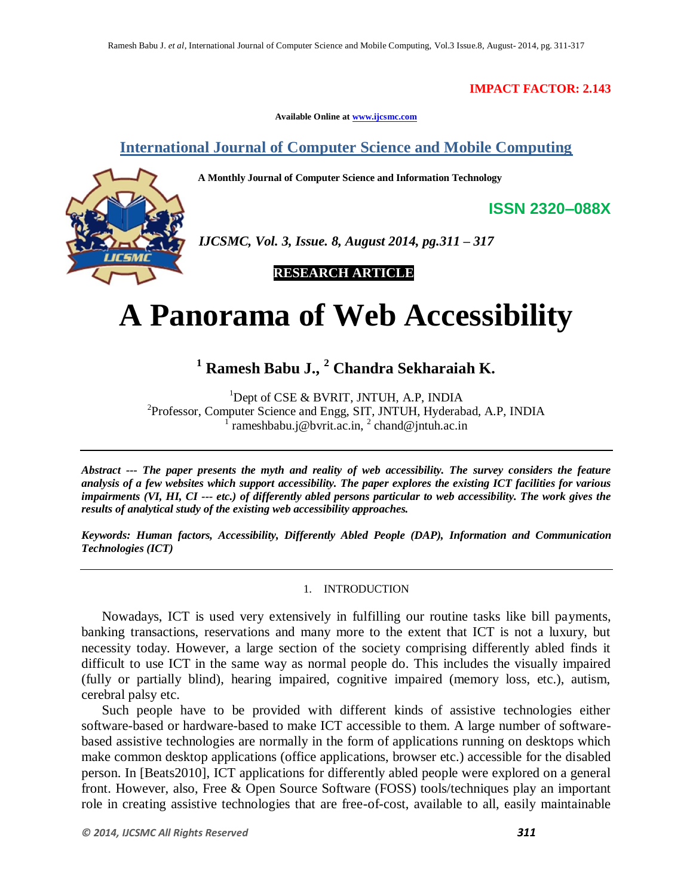**IMPACT FACTOR: 2.143**

**Available Online at www.ijcsmc.com**

**International Journal of Computer Science and Mobile Computing**

**A Monthly Journal of Computer Science and Information Technology**

**ISSN 2320–088X**



*IJCSMC, Vol. 3, Issue. 8, August 2014, pg.311 – 317*

# **RESEARCH ARTICLE**

# **A Panorama of Web Accessibility**

**<sup>1</sup> Ramesh Babu J., <sup>2</sup> Chandra Sekharaiah K.**

 ${}^{1}$ Dept of CSE & BVRIT, JNTUH, A.P, INDIA <sup>2</sup>Professor, Computer Science and Engg, SIT, JNTUH, Hyderabad, A.P, INDIA <sup>1</sup> rameshbabu.j@bvrit.ac.in, <sup>2</sup> chand@jntuh.ac.in

*Abstract --- The paper presents the myth and reality of web accessibility. The survey considers the feature analysis of a few websites which support accessibility. The paper explores the existing ICT facilities for various impairments (VI, HI, CI --- etc.) of differently abled persons particular to web accessibility. The work gives the results of analytical study of the existing web accessibility approaches.*

*Keywords: Human factors, Accessibility, Differently Abled People (DAP), Information and Communication Technologies (ICT)*

#### 1. INTRODUCTION

Nowadays, ICT is used very extensively in fulfilling our routine tasks like bill payments, banking transactions, reservations and many more to the extent that ICT is not a luxury, but necessity today. However, a large section of the society comprising differently abled finds it difficult to use ICT in the same way as normal people do. This includes the visually impaired (fully or partially blind), hearing impaired, cognitive impaired (memory loss, etc.), autism, cerebral palsy etc.

Such people have to be provided with different kinds of assistive technologies either software-based or hardware-based to make ICT accessible to them. A large number of softwarebased assistive technologies are normally in the form of applications running on desktops which make common desktop applications (office applications, browser etc.) accessible for the disabled person. In [Beats2010], ICT applications for differently abled people were explored on a general front. However, also, Free & Open Source Software (FOSS) tools/techniques play an important role in creating assistive technologies that are free-of-cost, available to all, easily maintainable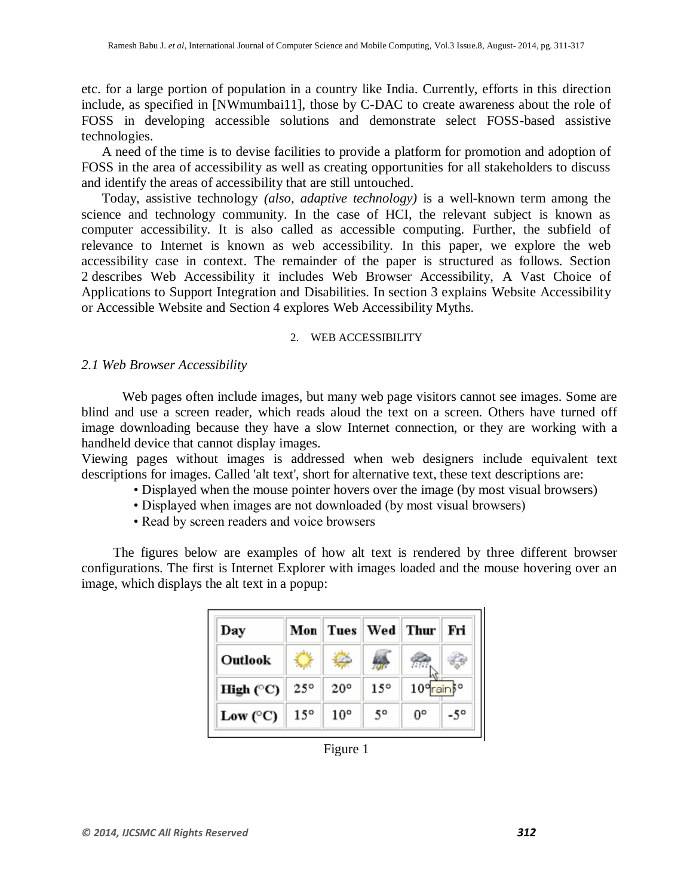etc. for a large portion of population in a country like India. Currently, efforts in this direction include, as specified in [NWmumbai11], those by C-DAC to create awareness about the role of FOSS in developing accessible solutions and demonstrate select FOSS-based assistive technologies.

A need of the time is to devise facilities to provide a platform for promotion and adoption of FOSS in the area of accessibility as well as creating opportunities for all stakeholders to discuss and identify the areas of accessibility that are still untouched.

Today, assistive technology *(also, adaptive technology)* is a well-known term among the science and technology community. In the case of HCI, the relevant subject is known as computer accessibility. It is also called as accessible computing. Further, the subfield of relevance to Internet is known as web accessibility. In this paper, we explore the web accessibility case in context. The remainder of the paper is structured as follows. Section 2 describes Web Accessibility it includes Web Browser Accessibility, A Vast Choice of Applications to Support Integration and Disabilities. In section 3 explains Website Accessibility or Accessible Website and Section 4 explores Web Accessibility Myths.

#### 2. WEB ACCESSIBILITY

# *2.1 Web Browser Accessibility*

Web pages often include images, but many web page visitors cannot see images. Some are blind and use a screen reader, which reads aloud the text on a screen. Others have turned off image downloading because they have a slow Internet connection, or they are working with a handheld device that cannot display images.

Viewing pages without images is addressed when web designers include equivalent text descriptions for images. Called 'alt text', short for alternative text, these text descriptions are:

- Displayed when the mouse pointer hovers over the image (by most visual browsers)
- Displayed when images are not downloaded (by most visual browsers)
- Read by screen readers and voice browsers

The figures below are examples of how alt text is rendered by three different browser configurations. The first is Internet Explorer with images loaded and the mouse hovering over an image, which displays the alt text in a popup:

| Day                | Mon          |              | Tues   Wed   Thur |                                    | Fri |
|--------------------|--------------|--------------|-------------------|------------------------------------|-----|
| Outlook            |              |              |                   |                                    |     |
| High $(^{\circ}C)$ | $25^{\circ}$ | $20^{\circ}$ | $15^{\circ}$      | 10 <sup>o</sup> rain <sup>50</sup> |     |
| Low $(^{\circ}C)$  | $15^{\circ}$ | $10^{\circ}$ | 5°                | n۰                                 | -5° |

Figure 1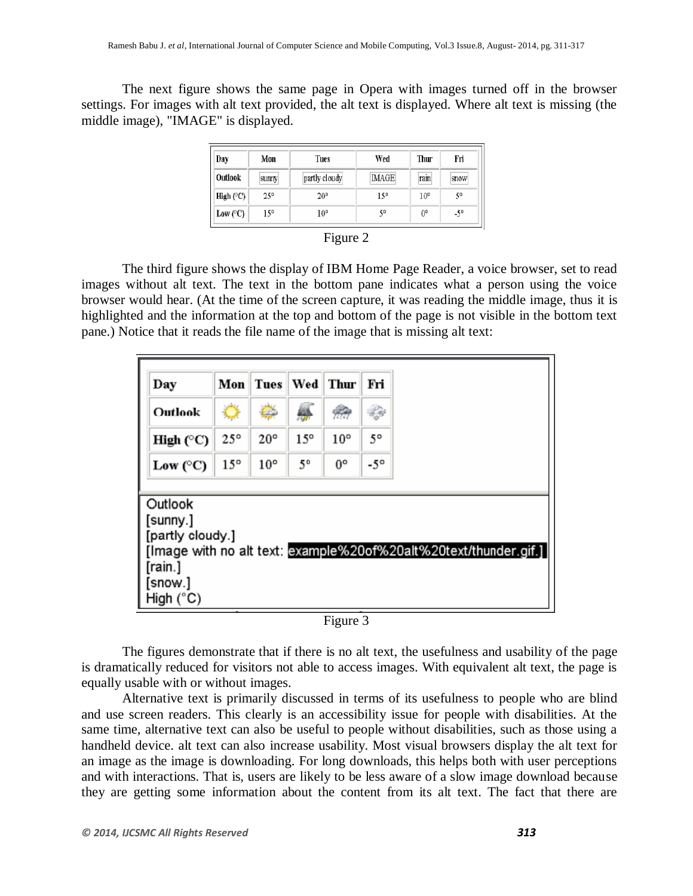The next figure shows the same page in Opera with images turned off in the browser settings. For images with alt text provided, the alt text is displayed. Where alt text is missing (the middle image), "IMAGE" is displayed.

| Day                 | Mon          | Tues          | Wed          | Thur           | Fri        |
|---------------------|--------------|---------------|--------------|----------------|------------|
| Outlook             | sunny        | partly cloudy | <b>IMAGE</b> | $\sim$<br>rain | snow       |
| High $(^{\circ}C)$  | $25^\circ$   | $20^{\circ}$  | 15°          | $10^{\circ}$   | 5°         |
| Low $({}^{\circ}C)$ | $15^{\circ}$ | $10^{\circ}$  | 5°           | $0^{\circ}$    | $-5^\circ$ |

|--|

The third figure shows the display of IBM Home Page Reader, a voice browser, set to read images without alt text. The text in the bottom pane indicates what a person using the voice browser would hear. (At the time of the screen capture, it was reading the middle image, thus it is highlighted and the information at the top and bottom of the page is not visible in the bottom text pane.) Notice that it reads the file name of the image that is missing alt text:

| Day                                                                                                                                            | Mon          | Tues         | $\vert$ Wed $\vert$ | Thur         | Fri        |
|------------------------------------------------------------------------------------------------------------------------------------------------|--------------|--------------|---------------------|--------------|------------|
| Outlook                                                                                                                                        |              |              |                     |              |            |
| High $(^{\circ}C)$                                                                                                                             | $25^{\circ}$ | $20^{\circ}$ | $15^\circ$          | $10^{\circ}$ | 5°         |
| Low $(^{\circ}C)$                                                                                                                              | $15^{\circ}$ | $10^{\circ}$ | 5°                  | $0^{\circ}$  | $-5^\circ$ |
| Outlook<br>[sunny.]<br>[partly cloudy.]<br>[Image with no alt text: example%20of%20alt%20text/thunder.gif.]<br>[rain.]<br>[snow.]<br>High (°C) |              |              |                     |              |            |

|  |  | 911 T |  |
|--|--|-------|--|
|--|--|-------|--|

The figures demonstrate that if there is no alt text, the usefulness and usability of the page is dramatically reduced for visitors not able to access images. With equivalent alt text, the page is equally usable with or without images.

Alternative text is primarily discussed in terms of its usefulness to people who are blind and use screen readers. This clearly is an accessibility issue for people with disabilities. At the same time, alternative text can also be useful to people without disabilities, such as those using a handheld device. alt text can also increase usability. Most visual browsers display the alt text for an image as the image is downloading. For long downloads, this helps both with user perceptions and with interactions. That is, users are likely to be less aware of a slow image download because they are getting some information about the content from its alt text. The fact that there are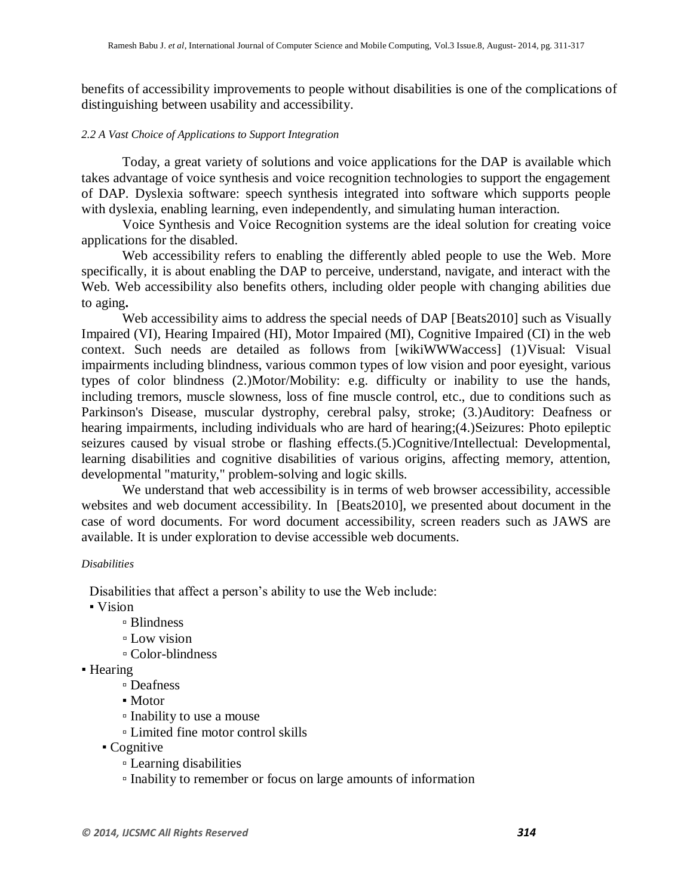benefits of accessibility improvements to people without disabilities is one of the complications of distinguishing between usability and accessibility.

#### *2.2 A Vast Choice of Applications to Support Integration*

Today, a great variety of solutions and voice applications for the DAP is available which takes advantage of voice synthesis and voice recognition technologies to support the engagement of DAP. Dyslexia software: speech synthesis integrated into software which supports people with dyslexia, enabling learning, even independently, and simulating human interaction.

Voice Synthesis and Voice Recognition systems are the ideal solution for creating voice applications for the disabled.

Web accessibility refers to enabling the differently abled people to use the Web. More specifically, it is about enabling the DAP to perceive, understand, navigate, and interact with the Web. Web accessibility also benefits others, including [older people](http://www.w3.org/WAI/bcase/soc.html#of) with changing abilities due to aging**.**

Web accessibility aims to address the special needs of DAP [Beats2010] such as Visually Impaired (VI), Hearing Impaired (HI), Motor Impaired (MI), Cognitive Impaired (CI) in the web context. Such needs are detailed as follows from [wikiWWWaccess] (1)Visual: [Visual](http://en.wikipedia.org/wiki/Visual_impairment)  [impairments](http://en.wikipedia.org/wiki/Visual_impairment) including [blindness,](http://en.wikipedia.org/wiki/Blindness) various common types of [low vision](http://en.wikipedia.org/wiki/Low_vision) and poor eyesight, various types of [color blindness](http://en.wikipedia.org/wiki/Color_blindness) (2.)Motor/Mobility: e.g. difficulty or inability to use the hands, including tremors, muscle slowness, loss of fine muscle control, etc., due to conditions such as [Parkinson's Disease,](http://en.wikipedia.org/wiki/Parkinson%27s_Disease) [muscular dystrophy,](http://en.wikipedia.org/wiki/Muscular_dystrophy) [cerebral palsy,](http://en.wikipedia.org/wiki/Cerebral_palsy) [stroke;](http://en.wikipedia.org/wiki/Stroke) (3.)Auditory: [Deafness](http://en.wikipedia.org/wiki/Deafness) or [hearing impairments,](http://en.wikipedia.org/wiki/Hearing_impairment) including individuals who are [hard of hearing;](http://en.wikipedia.org/wiki/Hard_of_hearing)(4.)Seizures: Photo epileptic [seizures](http://en.wikipedia.org/wiki/Seizure) caused by visual strobe or flashing effects.(5.)Cognitive/Intellectual: Developmental, [learning disabilities](http://en.wikipedia.org/wiki/Learning_disabilities) and [cognitive disabilities](http://en.wikipedia.org/wiki/Cognitive_disabilities) of various origins, affecting memory, attention, developmental "maturity," problem-solving and logic skills.

We understand that web accessibility is in terms of web browser accessibility, accessible websites and web document accessibility. In [Beats2010], we presented about document in the case of word documents. For word document accessibility, screen readers such as JAWS are available. It is under exploration to devise accessible web documents.

#### *Disabilities*

Disabilities that affect a person's ability to use the Web include:

- $\blacksquare$  Vision
	- Blindness
	- Low vision
	- Color-blindness
- Hearing
	- Deafness
	- Motor
	- Inability to use a mouse
	- Limited fine motor control skills
	- Cognitive
		- Learning disabilities
		- Inability to remember or focus on large amounts of information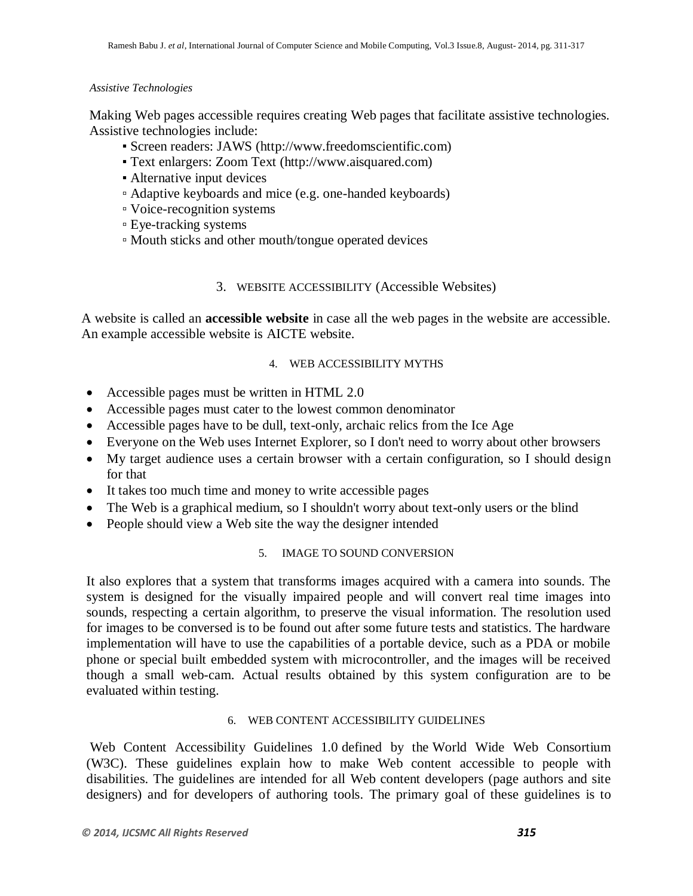#### *Assistive Technologies*

Making Web pages accessible requires creating Web pages that facilitate assistive technologies. Assistive technologies include:

- Screen readers: JAWS (http://www.freedomscientific.com)
- Text enlargers: Zoom Text (http://www.aisquared.com)
- Alternative input devices
- Adaptive keyboards and mice (e.g. one-handed keyboards)
- Voice-recognition systems
- Eye-tracking systems
- Mouth sticks and other mouth/tongue operated devices

# 3. WEBSITE ACCESSIBILITY (Accessible Websites)

A website is called an **accessible website** in case all the web pages in the website are accessible. An example accessible website is AICTE website.

# 4. WEB ACCESSIBILITY MYTHS

- Accessible pages must be written in HTML 2.0
- Accessible pages must cater to the lowest common denominator
- Accessible pages have to be dull, text-only, archaic relics from the Ice Age
- Everyone on the Web uses Internet Explorer, so I don't need to worry about other browsers
- My target audience uses a certain browser with a certain configuration, so I should design for that
- It takes too much time and money to write accessible pages
- The Web is a graphical medium, so I shouldn't worry about text-only users or the blind
- People should view a Web site the way the designer intended

# 5. IMAGE TO SOUND CONVERSION

It also explores that a system that transforms images acquired with a camera into sounds. The system is designed for the visually impaired people and will convert real time images into sounds, respecting a certain algorithm, to preserve the visual information. The resolution used for images to be conversed is to be found out after some future tests and statistics. The hardware implementation will have to use the capabilities of a portable device, such as a PDA or mobile phone or special built embedded system with microcontroller, and the images will be received though a small web-cam. Actual results obtained by this system configuration are to be evaluated within testing.

#### 6. WEB CONTENT ACCESSIBILITY GUIDELINES

[Web Content Accessibility Guidelines 1.0](http://www.w3.org/TR/WAI-WEBCONTENT/) defined by the [World Wide Web Consortium](http://www.w3.org/)  [\(W3C\).](http://www.w3.org/) These guidelines explain how to make [Web content a](http://www.w3.org/TR/WCAG10/#content-structure)ccessible to people with disabilities. The guidelines are intended for all [Web content developers](http://www.w3.org/TR/WCAG10/#content-developer) (page authors and site designers) and for developers of [authoring tools.](http://www.w3.org/TR/WCAG10/#authoring-tool) The primary goal of these guidelines is to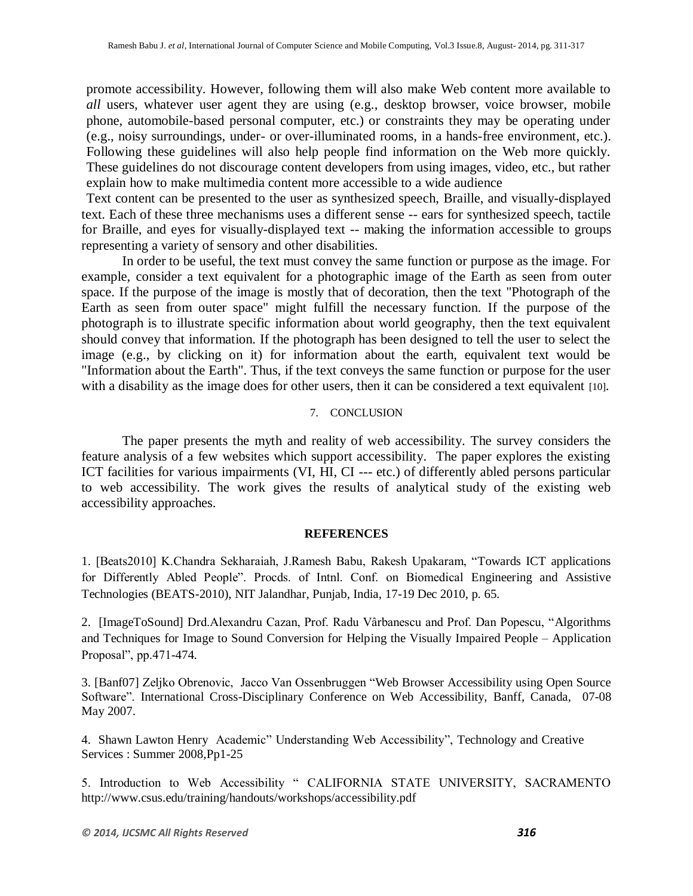promote accessibility. However, following them will also make Web content more available to *all* users, whatever [user agent](http://www.w3.org/TR/WCAG10/#user-agent) they are using (e.g., desktop browser, voice browser, mobile phone, automobile-based personal computer, etc.) or constraints they may be operating under (e.g., noisy surroundings, under- or over-illuminated rooms, in a hands-free environment, etc.). Following these guidelines will also help people find information on the Web more quickly. These guidelines do not discourage content developers from using images, video, etc., but rather explain how to make multimedia content more accessible to a wide audience

Text content can be presented to the user as synthesized speech, Braille, and visually-displayed text. Each of these three mechanisms uses a different sense -- ears for synthesized speech, tactile for Braille, and eyes for visually-displayed text -- making the information accessible to groups representing a variety of sensory and other disabilities.

In order to be useful, the text must convey the same function or purpose as the image. For example, consider a text equivalent for a photographic image of the Earth as seen from outer space. If the purpose of the image is mostly that of decoration, then the text "Photograph of the Earth as seen from outer space" might fulfill the necessary function. If the purpose of the photograph is to illustrate specific information about world geography, then the text equivalent should convey that information. If the photograph has been designed to tell the user to select the image (e.g., by clicking on it) for information about the earth, equivalent text would be "Information about the Earth". Thus, if the text conveys the same function or purpose for the user with a disability as the image does for other users, then it can be considered a text equivalent [10].

#### 7. CONCLUSION

The paper presents the myth and reality of web accessibility. The survey considers the feature analysis of a few websites which support accessibility. The paper explores the existing ICT facilities for various impairments (VI, HI, CI --- etc.) of differently abled persons particular to web accessibility. The work gives the results of analytical study of the existing web accessibility approaches.

#### **REFERENCES**

1. [Beats2010] K.Chandra Sekharaiah, J.Ramesh Babu, Rakesh Upakaram, "Towards ICT applications for Differently Abled People". Procds. of Intnl. Conf. on Biomedical Engineering and Assistive Technologies (BEATS-2010), NIT Jalandhar, Punjab, India, 17-19 Dec 2010, p. 65.

2. [ImageToSound] Drd.Alexandru Cazan, Prof. Radu Vârbanescu and Prof. Dan Popescu, "Algorithms and Techniques for Image to Sound Conversion for Helping the Visually Impaired People – Application Proposal", pp.471-474.

3. [Banf07] Zeljko Obrenovic, Jacco Van Ossenbruggen "Web Browser Accessibility using Open Source Software". International Cross-Disciplinary Conference on Web Accessibility, Banff, Canada, 07-08 May 2007.

4. Shawn Lawton Henry Academic" Understanding Web Accessibility", Technology and Creative Services : Summer 2008,Pp1-25

5. Introduction to Web Accessibility " CALIFORNIA STATE UNIVERSITY, SACRAMENTO http://www.csus.edu/training/handouts/workshops/accessibility.pdf